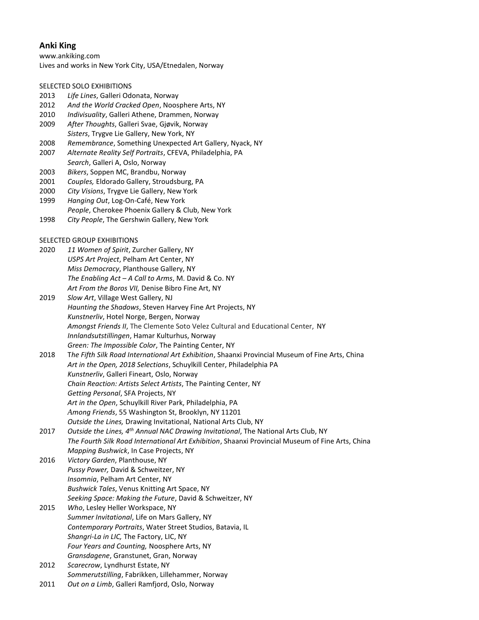# **Anki King**

www.ankiking.com Lives and works in New York City, USA/Etnedalen, Norway

## SELECTED SOLO EXHIBITIONS

- 2013 *Life Lines*, Galleri Odonata, Norway
- 2012 *And the World Cracked Open*, Noosphere Arts, NY
- 2010 *Indivisuality*, Galleri Athene, Drammen, Norway
- 2009 *After Thoughts*, Galleri Svae, Gjøvik, Norway *Sisters*, Trygve Lie Gallery, New York, NY
- 2008 *Remembrance*, Something Unexpected Art Gallery, Nyack, NY
- 2007 *Alternate Reality Self Portraits*, CFEVA, Philadelphia, PA
- *Search*, Galleri A, Oslo, Norway
- 2003 *Bikers*, Soppen MC, Brandbu, Norway
- 2001 *Couples,* Eldorado Gallery, Stroudsburg, PA
- 2000 *City Visions*, Trygve Lie Gallery, New York
- 1999 *Hanging Out*, Log-On-Café, New York
- *People*, Cherokee Phoenix Gallery & Club, New York
- 1998 *City People*, The Gershwin Gallery, New York

### SELECTED GROUP EXHIBITIONS

- 2020 *11 Women of Spirit*[, Zurcher Gallery, NY](https://www.galeriezurcher.com/salon-zurcher-22nd-edition-11-women-of-spirit-part-2) *USPS Art Project*[, Pelham Art Center, NY](https://www.pelhamartcenter.org/exhibition/usps-art-project/) *Miss Democracy*, Planthouse Gallery, NY *The Enabling Act – A Call to Arms*, M. David & Co. NY *Art From the Boros VII,* Denise Bibro Fine Art, NY
- 2019 *Slow Art*, Village West Gallery, NJ *Haunting the Shadows*, Steven Harvey Fine Art Projects, NY *Kunstnerliv*, Hotel Norge, Bergen, Norway *Amongst Friends II*, The Clemente Soto Velez Cultural and Educational Center, NY *Innlandsutstillingen*, Hamar Kulturhus, Norway *Green: The Impossible Color*, The Painting Center, NY
- 2018 T*he Fifth Silk Road International Art Exhibition*, Shaanxi Provincial Museum of Fine Arts, China *Art in the Open, 2018 Selections*, Schuylkill Center, Philadelphia PA *Kunstnerliv*, Galleri Fineart, Oslo, Norway *Chain Reaction: Artists Select Artists*, The Painting Center, NY *Getting Personal*, SFA Projects, NY *Art in the Open*, Schuylkill River Park, Philadelphia, PA *Among Friends*, 55 Washington St, Brooklyn, NY 11201 *Outside the Lines,* Drawing Invitational, National Arts Club, NY
- 2017 *Outside the Lines, 4th Annual NAC Drawing Invitational*, The National Arts Club, NY *The Fourth Silk Road International Art Exhibition*, Shaanxi Provincial Museum of Fine Arts, China *Mapping Bushwick*, In Case Projects, NY
- 2016 *Victory Garden*, Planthouse, NY *Pussy Power,* David & Schweitzer, NY *Insomnia*, Pelham Art Center, NY *Bushwick Tales*, Venus Knitting Art Space, NY *Seeking Space: Making the Future*, David & Schweitzer, NY
- 2015 *Who*, Lesley Heller Workspace, NY *Summer Invitational*, Life on Mars Gallery, NY *Contemporary Portraits*, Water Street Studios, Batavia, IL *Shangri-La in LIC,* The Factory, LIC, NY *Four Years and Counting,* Noosphere Arts, NY *Gransdagene*, Granstunet, Gran, Norway
- 2012 *Scarecrow*, Lyndhurst Estate, NY *Sommerutstilling*, Fabrikken, Lillehammer, Norway
- 2011 *Out on a Limb*, Galleri Ramfjord, Oslo, Norway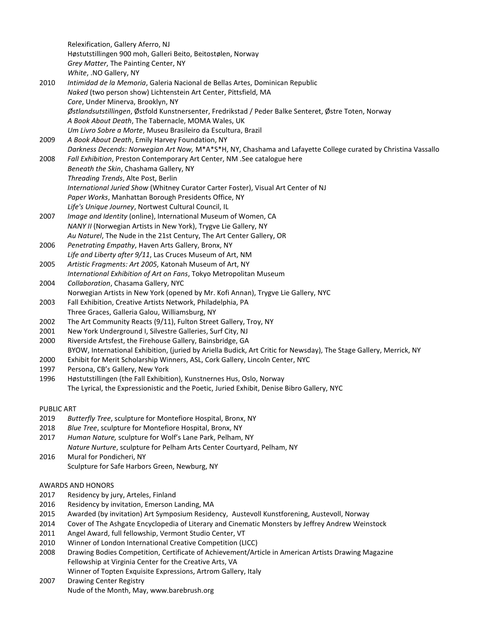Relexification, Gallery Aferro, NJ Høstutstillingen 900 moh, Galleri Beito, Beitostølen, Norway *Grey Matter*, The Painting Center, NY *White*, .NO Gallery, NY 2010 *Intimidad de la Memoria*, Galeria Nacional de Bellas Artes, Dominican Republic *Naked* (two person show) Lichtenstein Art Center, Pittsfield, MA *Core*, Under Minerva, Brooklyn, NY *Østlandsutstillingen*, Østfold Kunstnersenter, Fredrikstad / Peder Balke Senteret, Østre Toten, Norway *A Book About Death*, The Tabernacle, MOMA Wales, UK *Um Livro Sobre a Morte*, Museu Brasileiro da Escultura, Brazil 2009 *A Book About Death*, Emily Harvey Foundation, NY *Darkness Decends: Norwegian Art Now,* M\*A\*S\*H, NY, Chashama and Lafayette College curated by Christina Vassallo 2008 *Fall Exhibition*, Preston Contemporary Art Center, NM .See catalogue here *Beneath the Skin*, Chashama Gallery, NY *Threading Trends*, Alte Post, Berlin *International Juried Show* (Whitney Curator Carter Foster), Visual Art Center of NJ *Paper Works*, Manhattan Borough Presidents Office, NY *Life's Unique Journey*, Nortwest Cultural Council, IL 2007 *Image and Identity* (online), International Museum of Women, CA *NANY II* (Norwegian Artists in New York), Trygve Lie Gallery, NY *Au Naturel*, The Nude in the 21st Century, The Art Center Gallery, OR 2006 *Penetrating Empathy*, Haven Arts Gallery, Bronx, NY *Life and Liberty after 9/11*, Las Cruces Museum of Art, NM 2005 *Artistic Fragments: Art 2005*, Katonah Museum of Art, NY *International Exhibition of Art on Fans*, Tokyo Metropolitan Museum 2004 *Collaboration*, Chasama Gallery, NYC

- Norwegian Artists in New York (opened by Mr. Kofi Annan), Trygve Lie Gallery, NYC
- 2003 Fall Exhibition, Creative Artists Network, Philadelphia, PA Three Graces, Galleria Galou, Williamsburg, NY
- 2002 The Art Community Reacts (9/11), Fulton Street Gallery, Troy, NY
- 2001 New York Underground I, Silvestre Galleries, Surf City, NJ
- 2000 Riverside Artsfest, the Firehouse Gallery, Bainsbridge, GA BYOW, International Exhibition, (juried by Ariella Budick, Art Critic for Newsday), The Stage Gallery, Merrick, NY
- 2000 Exhibit for Merit Scholarship Winners, ASL, Cork Gallery, Lincoln Center, NYC
- 1997 Persona, CB's Gallery, New York
- 1996 Høstutstillingen (the Fall Exhibition), Kunstnernes Hus, Oslo, Norway The Lyrical, the Expressionistic and the Poetic, Juried Exhibit, Denise Bibro Gallery, NYC

## PUBLIC ART

- 2019 *Butterfly Tree*, sculpture for Montefiore Hospital, Bronx, NY
- 2018 *Blue Tree*, sculpture for Montefiore Hospital, Bronx, NY
- 2017 *Human Nature,* sculpture for Wolf's Lane Park, Pelham, NY *Nature Nurture*, sculpture for Pelham Arts Center Courtyard, Pelham, NY
- 2016 Mural for Pondicheri, NY Sculpture for Safe Harbors Green, Newburg, NY

# AWARDS AND HONORS

- 2017 Residency by jury, Arteles, Finland
- 2016 Residency by invitation, Emerson Landing, MA
- 2015 Awarded (by invitation) Art Symposium Residency, Austevoll Kunstforening, Austevoll, Norway
- 2014 Cover of The Ashgate Encyclopedia of Literary and Cinematic Monsters by Jeffrey Andrew Weinstock
- 2011 Angel Award, full fellowship, Vermont Studio Center, VT
- 2010 Winner of London International Creative Competition (LICC)
- 2008 Drawing Bodies Competition, Certificate of Achievement/Article in American Artists Drawing Magazine Fellowship at Virginia Center for the Creative Arts, VA
	- Winner of Topten Exquisite Expressions, Artrom Gallery, Italy
- 2007 Drawing Center Registry Nude of the Month, May, www.barebrush.org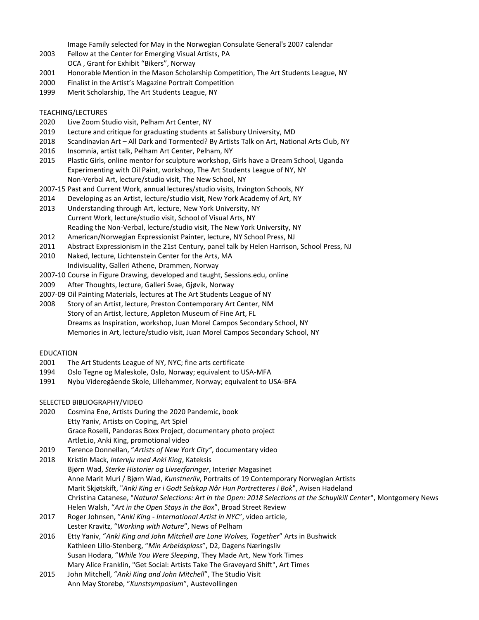Image Family selected for May in the Norwegian Consulate General's 2007 calendar

- 2003 Fellow at the Center for Emerging Visual Artists, PA OCA , Grant for Exhibit "Bikers", Norway
- 2001 Honorable Mention in the Mason Scholarship Competition, The Art Students League, NY
- 2000 Finalist in the Artist's Magazine Portrait Competition
- 1999 Merit Scholarship, The Art Students League, NY

#### TEACHING/LECTURES

- 2020 Live Zoom Studio visit, Pelham Art Center, NY
- 2019 Lecture and critique for graduating students at Salisbury University, MD
- 2018 Scandinavian Art All Dark and Tormented? By Artists Talk on Art, National Arts Club, NY
- 2016 Insomnia, artist talk, Pelham Art Center, Pelham, NY
- 2015 Plastic Girls, online mentor for sculpture workshop, Girls have a Dream School, Uganda Experimenting with Oil Paint, workshop, The Art Students League of NY, NY Non-Verbal Art, lecture/studio visit, The New School, NY
- 2007-15 Past and Current Work, annual lectures/studio visits, Irvington Schools, NY
- 2014 Developing as an Artist, lecture/studio visit, New York Academy of Art, NY
- 2013 Understanding through Art, lecture, New York University, NY Current Work, lecture/studio visit, School of Visual Arts, NY Reading the Non-Verbal, lecture/studio visit, The New York University, NY
- 2012 American/Norwegian Expressionist Painter, lecture, NY School Press, NJ
- 2011 Abstract Expressionism in the 21st Century, panel talk by Helen Harrison, School Press, NJ
- 2010 Naked, lecture, Lichtenstein Center for the Arts, MA Indivisuality, Galleri Athene, Drammen, Norway
- 2007-10 Course in Figure Drawing, developed and taught, Sessions.edu, online
- 2009 After Thoughts, lecture, Galleri Svae, Gjøvik, Norway
- 2007-09 Oil Painting Materials, lectures at The Art Students League of NY
- 2008 Story of an Artist, lecture, Preston Contemporary Art Center, NM Story of an Artist, lecture, Appleton Museum of Fine Art, FL Dreams as Inspiration, workshop, Juan Morel Campos Secondary School, NY Memories in Art, lecture/studio visit, Juan Morel Campos Secondary School, NY

#### EDUCATION

- 2001 The Art Students League of NY, NYC; fine arts certificate
- 1994 Oslo Tegne og Maleskole, Oslo, Norway; equivalent to USA-MFA
- 1991 Nybu Videregående Skole, Lillehammer, Norway; equivalent to USA-BFA

### SELECTED BIBLIOGRAPHY/VIDEO

- 2020 Cosmina Ene[, Artists During the 2020 Pandemic,](https://www.amazon.com/Seeds-Creation-Artists-During-Pandemic/dp/B0892HTHYS/ref=sr_1_2?dchild=1&keywords=cosmina+ene&qid=1596293854&s=books&sr=1-2) book Etty Yaniv[, Artists on Coping,](https://artspiel.org/artists-on-coping-anki-king/) Art Spiel Grace Roselli, Pandoras Boxx Project, documentary photo project Artlet.io, Anki King, promotional video
- 2019 Terence Donnellan, "*Artists of New York City"*, documentary video
- 2018 Kristin Mack, *Intervju med Anki King*, Kateksis Bjørn Wad, *Sterke Historier og Livserfaringer*, Interiør Magasinet Anne Marit Muri / Bjørn Wad, *Kunstnerliv*, Portraits of 19 Contemporary Norwegian Artists Marit Skjøtskift, "*Anki King er i Godt Selskap Når Hun Portretteres i Bok*", Avisen Hadeland Christina Catanese, "*Natural Selections: Art in the Open: 2018 Selections at the Schuylkill Center*", Montgomery News Helen Walsh, "*Art in the Open Stays in the Box*", Broad Street Review
- 2017 Roger Johnsen, "*Anki King - International Artist in NYC*", video article, Lester Kravitz, "*Working with Nature*", News of Pelham
- 2016 Etty Yaniv, "*Anki King and John Mitchell are Lone Wolves, Together*" Arts in Bushwick Kathleen Lillo-Stenberg, "*Min Arbeidsplass*", D2, Dagens Næringsliv Susan Hodara, "*While You Were Sleeping*, They Made Art, New York Times Mary Alice Franklin, "Get Social: Artists Take The Graveyard Shift", Art Times
- 2015 John Mitchell, "*Anki King and John Mitchell*", The Studio Visit Ann May Storebø, "*Kunstsymposium*", Austevollingen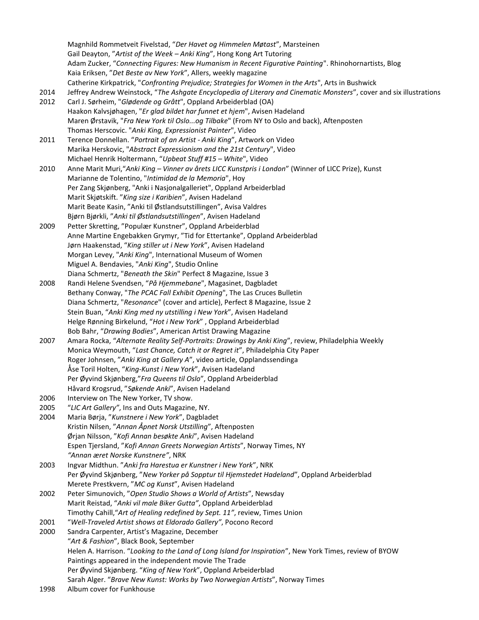Magnhild Rommetveit Fivelstad, "*Der Havet og Himmelen Møtast*", Marsteinen Gail Deayton, "*Artist of the Week – Anki King*", Hong Kong Art Tutoring Adam Zucker, "*Connecting Figures: New Humanism in Recent Figurative Painting*". Rhinohornartists, Blog Kaia Eriksen, "*Det Beste av New York*", Allers, weekly magazine Catherine Kirkpatrick, "*Confronting Prejudice; Strategies for Women in the Arts*", Arts in Bushwick

- 2014 Jeffrey Andrew Weinstock, "*The Ashgate Encyclopedia of Literary and Cinematic Monsters*", cover and six illustrations
- 2012 Carl J. Sørheim, "*Glødende og Grått*", Oppland Arbeiderblad (OA) Haakon Kalvsjøhagen, "*Er glad bildet har funnet et hjem*", Avisen Hadeland Maren Ørstavik, "*Fra New York til Oslo...og Tilbake*" (From NY to Oslo and back), Aftenposten Thomas Herscovic. "*Anki King, Expressionist Painter*", Video
- 2011 Terence Donnellan. "*Portrait of an Artist - Anki King*", Artwork on Video Marika Herskovic, "*Abstract Expressionism and the 21st Century*", Video Michael Henrik Holtermann, "*Upbeat Stuff #15 – White*", Video
- 2010 Anne Marit Muri,"*Anki King – Vinner av årets LICC Kunstpris i London*" (Winner of LICC Prize), Kunst Marianne de Tolentino, "*Intimidad de la Memoria*", Hoy Per Zang Skjønberg, "Anki i Nasjonalgalleriet", Oppland Arbeiderblad Marit Skjøtskift. "*King size i Karibien*", Avisen Hadeland Marit Beate Kasin, "Anki til Østlandsutstillingen", Avisa Valdres Bjørn Bjørkli, "*Anki til Østlandsutstillingen*", Avisen Hadeland
- 2009 Petter Skretting, "Populær Kunstner", Oppland Arbeiderblad Anne Martine Engebakken Grymyr, "Tid for Ettertanke", Oppland Arbeiderblad Jørn Haakenstad, "*King stiller ut i New York*", Avisen Hadeland Morgan Levey, "*Anki King*", International Museum of Women Miguel A. Bendavies, "*Anki King*", Studio Online Diana Schmertz, "*Beneath the Skin*" Perfect 8 Magazine, Issue 3
- 2008 Randi Helene Svendsen, "*På Hjemmebane*", Magasinet, Dagbladet Bethany Conway, "*The PCAC Fall Exhibit Opening*", The Las Cruces Bulletin Diana Schmertz, "*Resonance*" (cover and article), Perfect 8 Magazine, Issue 2 Stein Buan, "*Anki King med ny utstilling i New York*", Avisen Hadeland Helge Rønning Birkelund, "*Hot i New York*" , Oppland Arbeiderblad Bob Bahr, "*Drawing Bodies*", American Artist Drawing Magazine
- 2007 Amara Rocka, "*Alternate Reality Self-Portraits: Drawings by Anki King*", review, Philadelphia Weekly Monica Weymouth, "*Last Chance, Catch it or Regret it*", Philadelphia City Paper Roger Johnsen, "*Anki King at Gallery A*", video article, Opplandssendinga Åse Toril Holten, "King-Kunst i New York", Avisen Hadeland Per Øyvind Skjønberg,"*Fra Queens til Oslo*", Oppland Arbeiderblad Håvard Krogsrud, "*Søkende Anki*", Avisen Hadeland
- 2006 Interview on The New Yorker, TV show.
- 2005 "*LIC Art Gallery"*, Ins and Outs Magazine, NY.
- 2004 Maria Børja, "*Kunstnere i New York*", Dagbladet Kristin Nilsen, "*Annan Åpnet Norsk Utstilling*", Aftenposten Ørjan Nilsson, "*Kofi Annan besøkte Anki*", Avisen Hadeland Espen Tjersland, "*Kofi Annan Greets Norwegian Artists*", Norway Times, NY *"Annan æret Norske Kunstnere"*, NRK
- 2003 Ingvar Midthun. "*Anki fra Harestua er Kunstner i New York*", NRK Per Øyvind Skjønberg, "*New Yorker på Sopptur til Hjemstedet Hadeland*", Oppland Arbeiderblad Merete Prestkvern, "*MC og Kunst*", Avisen Hadeland
- 2002 Peter Simunovich, "*Open Studio Shows a World of Artists*", Newsday Marit Reistad, "*Anki vil male Biker Gutta"*, Oppland Arbeiderblad Timothy Cahill,"*Art of Healing redefined by Sept. 11"*, review, Times Union
- 2001 "*Well-Traveled Artist shows at Eldorado Gallery"*, Pocono Record
- 2000 Sandra Carpenter, Artist's Magazine, December "*Art & Fashion*", Black Book, September Helen A. Harrison. "*Looking to the Land of Long Island for Inspiration*", New York Times, review of BYOW Paintings appeared in the independent movie The Trade Per Øyvind Skjønberg. "*King of New York*", Oppland Arbeiderblad Sarah Alger. "*Brave New Kunst: Works by Two Norwegian Artists*", Norway Times
- 1998 Album cover for Funkhouse